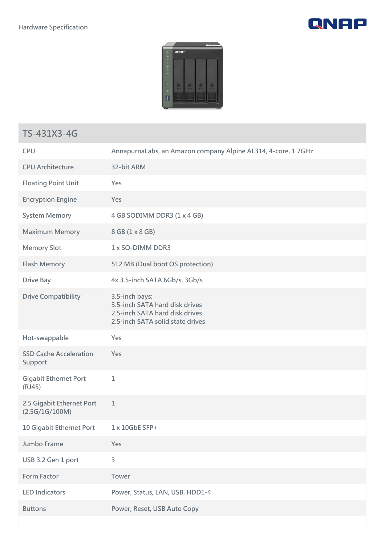



## **TS-431X3-4G**

| <b>CPU</b>                                  | AnnapurnaLabs, an Amazon company Alpine AL314, 4-core, 1.7GHz                                                          |
|---------------------------------------------|------------------------------------------------------------------------------------------------------------------------|
| <b>CPU Architecture</b>                     | 32-bit ARM                                                                                                             |
| <b>Floating Point Unit</b>                  | Yes                                                                                                                    |
| <b>Encryption Engine</b>                    | Yes                                                                                                                    |
| <b>System Memory</b>                        | 4 GB SODIMM DDR3 (1 x 4 GB)                                                                                            |
| <b>Maximum Memory</b>                       | 8 GB (1 x 8 GB)                                                                                                        |
| <b>Memory Slot</b>                          | 1 x SO-DIMM DDR3                                                                                                       |
| <b>Flash Memory</b>                         | 512 MB (Dual boot OS protection)                                                                                       |
| <b>Drive Bay</b>                            | 4x 3.5-inch SATA 6Gb/s, 3Gb/s                                                                                          |
| <b>Drive Compatibility</b>                  | 3.5-inch bays:<br>3.5-inch SATA hard disk drives<br>2.5-inch SATA hard disk drives<br>2.5-inch SATA solid state drives |
| Hot-swappable                               | Yes                                                                                                                    |
| <b>SSD Cache Acceleration</b><br>Support    | Yes                                                                                                                    |
| <b>Gigabit Ethernet Port</b><br>(RJ45)      | $1\,$                                                                                                                  |
| 2.5 Gigabit Ethernet Port<br>(2.5G/1G/100M) | $\mathbf 1$                                                                                                            |
| 10 Gigabit Ethernet Port                    | 1 x 10GbE SFP+                                                                                                         |
| Jumbo Frame                                 | Yes                                                                                                                    |
| USB 3.2 Gen 1 port                          | $\overline{3}$                                                                                                         |
| <b>Form Factor</b>                          | Tower                                                                                                                  |
| <b>LED Indicators</b>                       | Power, Status, LAN, USB, HDD1-4                                                                                        |
| <b>Buttons</b>                              | Power, Reset, USB Auto Copy                                                                                            |